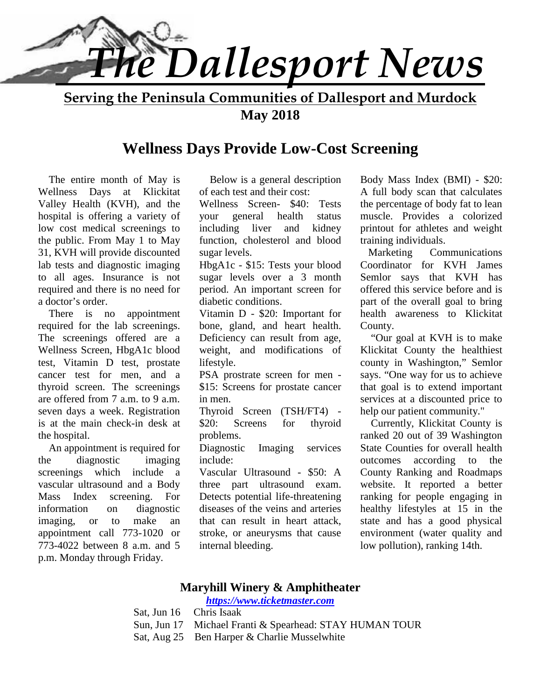

**Serving the Peninsula Communities of Dallesport and Murdock May 2018**

## **Wellness Days Provide Low-Cost Screening**

 The entire month of May is Wellness Days at Klickitat Valley Health (KVH), and the hospital is offering a variety of low cost medical screenings to the public. From May 1 to May 31, KVH will provide discounted lab tests and diagnostic imaging to all ages. Insurance is not required and there is no need for a doctor's order.

 There is no appointment required for the lab screenings. The screenings offered are a Wellness Screen, HbgA1c blood test, Vitamin D test, prostate cancer test for men, and a thyroid screen. The screenings are offered from 7 a.m. to 9 a.m. seven days a week. Registration is at the main check-in desk at \$20: the hospital.

 An appointment is required for the diagnostic imaging screenings which include a vascular ultrasound and a Body Mass Index screening. For information on diagnostic imaging, or to make an appointment call 773-1020 or 773-4022 between 8 a.m. and 5 p.m. Monday through Friday.

 Below is a general description of each test and their cost:

Wellness Screen- \$40: Tests general health status including liver and kidney function, cholesterol and blood sugar levels.

HbgA1c - \$15: Tests your blood sugar levels over a 3 month period. An important screen for diabetic conditions.

Vitamin D - \$20: Important for bone, gland, and heart health. Deficiency can result from age, weight, and modifications of lifestyle.

PSA prostrate screen for men - \$15: Screens for prostate cancer in men.

Thyroid Screen (TSH/FT4) - Screens for thyroid problems.

Diagnostic Imaging services include:

Vascular Ultrasound - \$50: A three part ultrasound exam. Detects potential life-threatening diseases of the veins and arteries that can result in heart attack, stroke, or aneurysms that cause internal bleeding.

Body Mass Index (BMI) - \$20: A full body scan that calculates the percentage of body fat to lean muscle. Provides a colorized printout for athletes and weight training individuals.

 Marketing Communications Coordinator for KVH James Semlor says that KVH has offered this service before and is part of the overall goal to bring health awareness to Klickitat County.

 "Our goal at KVH is to make Klickitat County the healthiest county in Washington," Semlor says. "One way for us to achieve that goal is to extend important services at a discounted price to help our patient community."

 Currently, Klickitat County is ranked 20 out of 39 Washington State Counties for overall health outcomes according to the County Ranking and Roadmaps website. It reported a better ranking for people engaging in healthy lifestyles at 15 in the state and has a good physical environment (water quality and low pollution), ranking 14th.

## **Maryhill Winery & Amphitheater**

*https://www.ticketmaster.com*

Sat, Jun 16 Chris Isaak

- Sun, Jun 17 Michael Franti & Spearhead: STAY HUMAN TOUR
- Sat, Aug 25 Ben Harper & Charlie Musselwhite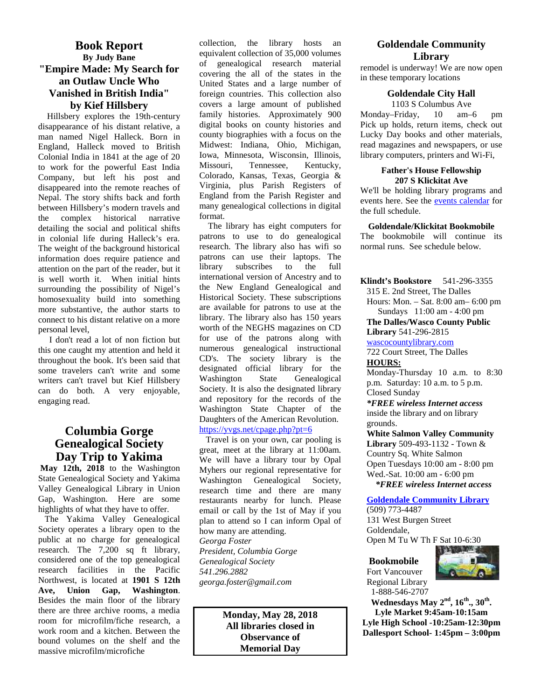## **Book Report By Judy Bane "Empire Made: My Search for an Outlaw Uncle Who Vanished in British India" by Kief Hillsbery**

 Hillsbery explores the 19th-century disappearance of his distant relative, a man named Nigel Halleck. Born in England, Halleck moved to British Colonial India in 1841 at the age of 20  $\frac{1}{2}$  Iowa, Mi to work for the powerful East India Company, but left his post and disappeared into the remote reaches of Nepal. The story shifts back and forth between Hillsbery's modern travels and the complex historical narrative detailing the social and political shifts in colonial life during Halleck's era. The weight of the background historical information does require patience and patrons<br>attention on the part of the reader but it attention on the part of the reader, but it is well worth it. When initial hints surrounding the possibility of Nigel's homosexuality build into something more substantive, the author starts to connect to his distant relative on a more personal level,

 I don't read a lot of non fiction but this one caught my attention and held it throughout the book. It's been said that some travelers can't write and some designated<br>writers can't travel but Kief Hillsbery Washington writers can't travel but Kief Hillsbery can do both. A very enjoyable, engaging read.

## **Columbia Gorge Genealogical Society Day Trip to Yakima**

 **May 12th, 2018** to the Washington State Genealogical Society and Yakima Valley Genealogical Library in Union Gap, Washington. Here are some highlights of what they have to offer.

The Yakima Valley Genealogical Society operates a library open to the public at no charge for genealogical research. The 7,200 sq ft library, considered one of the top genealogical research facilities in the Pacific Northwest, is located at **1901 S 12th Ave, Union Gap, Washington**. Besides the main floor of the library there are three archive rooms, a media room for microfilm/fiche research, a work room and a kitchen. Between the bound volumes on the shelf and the massive microfilm/microfiche

collection, the library hosts an equivalent collection of 35,000 volumes of genealogical research material covering the all of the states in the United States and a large number of foreign countries. This collection also covers a large amount of published family histories. Approximately 900 digital books on county histories and county biographies with a focus on the Midwest: Indiana, Ohio, Michigan, Iowa, Minnesota, Wisconsin, Illinois, Tennessee, Kentucky, Colorado, Kansas, Texas, Georgia & Virginia, plus Parish Registers of England from the Parish Register and many genealogical collections in digital format.

The library has eight computers for patrons to use to do genealogical research. The library also has wifi so patrons can use their laptops. The subscribes to the full international version of Ancestry and to the New England Genealogical and Historical Society. These subscriptions are available for patrons to use at the library. The library also has 150 years worth of the NEGHS magazines on CD for use of the patrons along with numerous genealogical instructional CD's. The society library is the designated official library for the State Genealogical Society. It is also the designated library and repository for the records of the Washington State Chapter of the Daughters of the American Revolution. https://yvgs.net/cpage.php?pt=6

Travel is on your own, car pooling is great, meet at the library at 11:00am. We will have a library tour by Opal Myhers our regional representative for Washington Genealogical Society, research time and there are many restaurants nearby for lunch. Please email or call by the 1st of May if you plan to attend so I can inform Opal of how many are attending. *Georga Foster President, Columbia Gorge Genealogical Society 541.296.2882 georga.foster@gmail.com*

> **Monday, May 28, 2018 All libraries closed in Observance of Memorial Day**

#### **Goldendale Community Library**

remodel is underway! We are now open in these temporary locations

#### **Goldendale City Hall**

1103 S Columbus Ave Monday–Friday, 10 am–6 pm Pick up holds, return items, check out Lucky Day books and other materials, read magazines and newspapers, or use library computers, printers and Wi-Fi,

#### **Father's House Fellowship 207 S Klickitat Ave**

We'll be holding library programs and events here. See the events calendar for the full schedule.

#### **Goldendale/Klickitat Bookmobile**

The bookmobile will continue its normal runs. See schedule below.

**Klindt's Bookstore** 541-296-3355 315 E. 2nd Street, The Dalles Hours: Mon. – Sat. 8:00 am– 6:00 pm Sundays 11:00 am - 4:00 pm

**The Dalles/Wasco County Public Library** 541-296-2815

wascocountylibrary.com

722 Court Street, The Dalles **HOURS:**

Monday-Thursday 10 a.m. to 8:30 p.m. Saturday: 10 a.m. to 5 p.m. Closed Sunday

*\*FREE wireless Internet access* inside the library and on library grounds.

**White Salmon Valley Community Library** 509-493-1132 - Town & Country Sq. White Salmon Open Tuesdays 10:00 am - 8:00 pm Wed.-Sat. 10:00 am - 6:00 pm  *\*FREE wireless Internet access*

#### **Goldendale Community Library**

(509) 773-4487 131 West Burgen Street Goldendale, Open M Tu W Th F Sat 10-6:30

#### **Bookmobile**

Fort Vancouver Regional Library 1-888-546-2707



**Wednesdays May 2nd, 16th., 30th . Lyle Market 9:45am-10:15am Lyle High School -10:25am-12:30pm Dallesport School- 1:45pm – 3:00pm**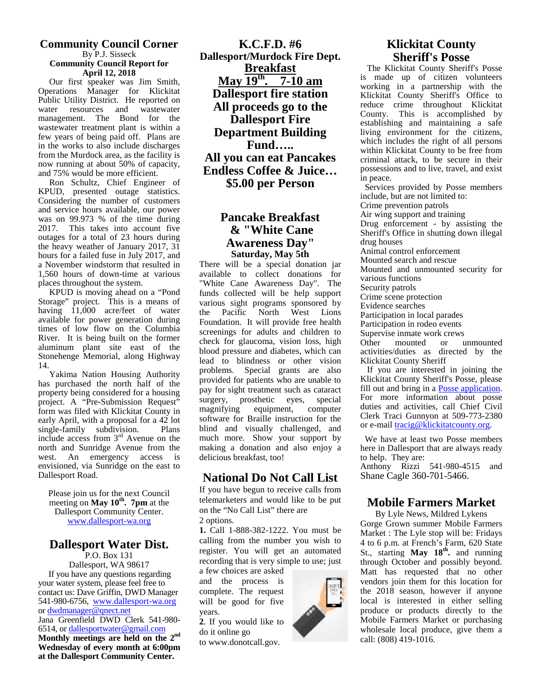#### **Community Council Corner** By P.J. Sisseck **Community Council Report for April 12, 2018**

Our first speaker was Jim Smith, Operations Manager for Klickitat Public Utility District. He reported on water resources and wastewater management. The Bond for the wastewater treatment plant is within a few years of being paid off. Plans are in the works to also include discharges from the Murdock area, as the facility is now running at about 50% of capacity, and 75% would be more efficient.

Ron Schultz, Chief Engineer of KPUD, presented outage statistics. Considering the number of customers and service hours available, our power was on 99.973 % of the time during 2017. This takes into account five outages for a total of 23 hours during the heavy weather of January 2017, 31 hours for a failed fuse in July 2017, and a November windstorm that resulted in 1,560 hours of down-time at various places throughout the system.

KPUD is moving ahead on a "Pond Storage" project. This is a means of having  $11,000$  acre/feet of water the available for power generation during times of low flow on the Columbia River. It is being built on the former aluminum plant site east of the Stonehenge Memorial, along Highway 14.

Yakima Nation Housing Authority has purchased the north half of the property being considered for a housing project. A "Pre-Submission Request" surgery, p<br>form was filed with Klickitat County in magnifying form was filed with Klickitat County in early April, with a proposal for a 42 lot<br>single-family subdivision. Plans single-family subdivision. include access from  $3<sup>rd</sup>$  Avenue on the north and Sunridge Avenue from the west. An emergency access is envisioned, via Sunridge on the east to Dallesport Road.

Please join us for the next Council meeting on **May 10th . 7pm** at the Dallesport Community Center. www.dallesport-wa.org

## **Dallesport Water Dist.**

P.O. Box 131 Dallesport, WA 98617 If you have any questions regarding your water system, please feel free to contact us: Dave Griffin, DWD Manager 541-980-6756, www.dallesport-wa.org or dwdmanager@qnect.net Jana Greenfield DWD Clerk 541-980- 6514, or dallesportwater@gmail.com **Monthly meetings are held on the 2nd Wednesday of every month at 6:00pm at the Dallesport Community Center.**

**K.C.F.D. #6 Dallesport/Murdock Fire Dept. Breakfast May**  $19^{\text{th}}$ **.**  $7\text{-}10$  am  $\frac{\text{is made}}{\text{working}}$ **Dallesport fire station All proceeds go to the Dallesport Fire Department Building Fund….. All you can eat Pancakes Endless Coffee & Juice… \$5.00 per Person**

## **Pancake Breakfast & "White Cane Awareness Day" Saturday, May 5th**

There will be a special donation jar available to collect donations for "White Cane Awareness Day". The funds collected will be help support various sight programs sponsored by Pacific North West Lions Foundation. It will provide free health screenings for adults and children to check for glaucoma, vision loss, high Other blood pressure and diabetes, which can lead to blindness or other vision problems. Special grants are also provided for patients who are unable to pay for sight treatment such as cataract surgery, prosthetic eyes, special equipment, computer software for Braille instruction for the blind and visually challenged, and much more. Show your support by making a donation and also enjoy a delicious breakfast, too!

## **National Do Not Call List**

If you have begun to receive calls from telemarketers and would like to be put on the "No Call List" there are 2 options.

**1.** Call 1-888-382-1222. You must be calling from the number you wish to register. You will get an automated recording that is very simple to use; just

a few choices are asked and the process is complete. The request will be good for five years.

**2**. If you would like to do it online go to www.donotcall.gov.

## **Klickitat County Sheriff's Posse**

The Klickitat County Sheriff's Posse is made up of citizen volunteers working in a partnership with the Klickitat County Sheriff's Office to reduce crime throughout Klickitat County. This is accomplished by establishing and maintaining a safe living environment for the citizens, which includes the right of all persons within Klickitat County to be free from criminal attack, to be secure in their possessions and to live, travel, and exist in peace.

Services provided by Posse members include, but are not limited to:

Crime prevention patrols Air wing support and training

Drug enforcement - by assisting the Sheriff's Office in shutting down illegal drug houses

Animal control enforcement

Mounted search and rescue

Mounted and unmounted security for various functions

Security patrols

Crime scene protection

Evidence searches

Participation in local parades

Participation in rodeo events

Supervise inmate work crews mounted or unmounted activities/duties as directed by the Klickitat County Sheriff

If you are interested in joining the Klickitat County Sheriff's Posse, please fill out and bring in a **Posse application**. For more information about posse duties and activities, call Chief Civil Clerk Traci Gunnyon at 509-773-2380 or e-mail tracig@klickitatcounty.org.

We have at least two Posse members here in Dallesport that are always ready to help. They are:

Anthony Rizzi 541-980-4515 and Shane Cagle 360-701-5466.

## **Mobile Farmers Market**

By Lyle News, Mildred Lykens Gorge Grown summer Mobile Farmers Market : The Lyle stop will be: Fridays 4 to 6 p.m. at French's Farm, 620 State St., starting **May 18th .** and running through October and possibly beyond. Matt has requested that no other vendors join them for this location for the 2018 season, however if anyone local is interested in either selling produce or products directly to the Mobile Farmers Market or purchasing wholesale local produce, give them a call: (808) 419-1016.

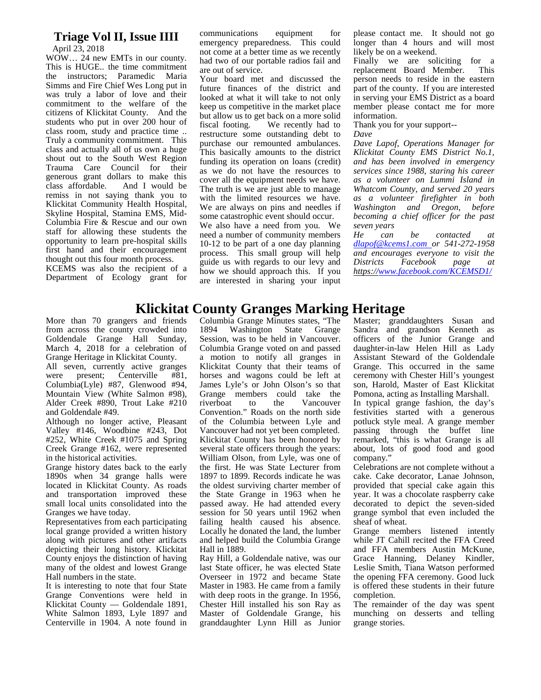#### **Triage Vol II, Issue IIII**

April 23, 2018

WOW… 24 new EMTs in our county. This is HUGE.. the time commitment the instructors; Paramedic Maria Simms and Fire Chief Wes Long put in was truly a labor of love and their commitment to the welfare of the citizens of Klickitat County. And the students who put in over 200 hour of fiscal footing. class room, study and practice time .. Truly a community commitment. This class and actually all of us own a huge shout out to the South West Region Trauma Care Council for their generous grant dollars to make this class affordable. And I would be remiss in not saying thank you to Klickitat Community Health Hospital, Skyline Hospital, Stamina EMS, Mid- Columbia Fire & Rescue and our own staff for allowing these students the opportunity to learn pre-hospital skills first hand and their encouragement thought out this four month process.

KCEMS was also the recipient of a Department of Ecology grant for communications equipment for emergency preparedness. This could not come at a better time as we recently had two of our portable radios fail and are out of service.

Your board met and discussed the future finances of the district and looked at what it will take to not only keep us competitive in the market place but allow us to get back on a more solid We recently had to restructure some outstanding debt to purchase our remounted ambulances. This basically amounts to the district funding its operation on loans (credit) as we do not have the resources to cover all the equipment needs we have. The truth is we are just able to manage with the limited resources we have. We are always on pins and needles if some catastrophic event should occur. We also have a need from you. We need a number of community members He 10-12 to be part of a one day planning process. This small group will help and encover and example us with regards to our levy and Districts guide us with regards to our levy and how we should approach this. If you are interested in sharing your input

please contact me. It should not go longer than 4 hours and will most likely be on a weekend.

Finally we are soliciting for a replacement Board Member. This person needs to reside in the eastern part of the county. If you are interested in serving your EMS District as a board member please contact me for more information.

Thank you for your support--

*Dave*

*Dave Lapof, Operations Manager for Klickitat County EMS District No.1, and has been involved in emergency services since 1988, staring his career as a volunteer on Lummi Island in Whatcom County, and served 20 years as a volunteer firefighter in both Washington and Oregon, before becoming a chief officer for the past seven years*

*can be contacted at dlapof@kcems1.com or 541-272-1958 and encourages everyone to visit the Districts Facebook page at https://www.facebook.com/KCEMSD1/*

## **Klickitat County Granges Marking Heritage**

More than 70 grangers and friends Column clouds count crowded into 1894 from across the county crowded into Goldendale Grange Hall Sunday, March 4, 2018 for a celebration of Grange Heritage in Klickitat County. All seven, currently active granges

were present; Centerville #81, Columbia(Lyle) #87, Glenwood #94, Mountain View (White Salmon #98), Grange<br>Alder Creek #890, Trout Lake #210 riverboat Alder Creek #890, Trout Lake #210 and Goldendale #49.

Although no longer active, Pleasant Valley #146, Woodbine #243, Dot #252, White Creek #1075 and Spring Creek Grange #162, were represented in the historical activities.

Grange history dates back to the early 1890s when 34 grange halls were located in Klickitat County. As roads and transportation improved these small local units consolidated into the Granges we have today.

Representatives from each participating local grange provided a written history along with pictures and other artifacts depicting their long history. Klickitat County enjoys the distinction of having many of the oldest and lowest Grange Hall numbers in the state.

It is interesting to note that four State Grange Conventions were held in Klickitat County — Goldendale 1891, White Salmon 1893, Lyle 1897 and Centerville in 1904. A note found in Columbia Grange Minutes states, "The Washington State Grange Session, was to be held in Vancouver. Columbia Grange voted on and passed a motion to notify all granges in Klickitat County that their teams of horses and wagons could be left at James Lyle's or John Olson's so that Grange members could take the to the Vancouver Convention." Roads on the north side of the Columbia between Lyle and Vancouver had not yet been completed. Klickitat County has been honored by several state officers through the years: William Olson, from Lyle, was one of the first. He was State Lecturer from 1897 to 1899. Records indicate he was the oldest surviving charter member of the State Grange in 1963 when he passed away. He had attended every session for 50 years until 1962 when failing health caused his absence. Locally he donated the land, the lumber and helped build the Columbia Grange Hall in 1889.

Ray Hill, a Goldendale native, was our last State officer, he was elected State Overseer in 1972 and became State Master in 1983. He came from a family with deep roots in the grange. In 1956, Chester Hill installed his son Ray as Master of Goldendale Grange, his granddaughter Lynn Hill as Junior Master; granddaughters Susan and Sandra and grandson Kenneth as officers of the Junior Grange and daughter-in-law Helen Hill as Lady Assistant Steward of the Goldendale Grange. This occurred in the same ceremony with Chester Hill's youngest son, Harold, Master of East Klickitat Pomona, acting as Installing Marshall.

In typical grange fashion, the day's festivities started with a generous potluck style meal. A grange member passing through the buffet line remarked, "this is what Grange is all about, lots of good food and good company."

Celebrations are not complete without a cake. Cake decorator, Lanae Johnson, provided that special cake again this year. It was a chocolate raspberry cake decorated to depict the seven-sided grange symbol that even included the sheaf of wheat.

Grange members listened intently while JT Cahill recited the FFA Creed and FFA members Austin McKune, Grace Hanning, Delaney Kindler, Leslie Smith, Tiana Watson performed the opening FFA ceremony. Good luck is offered these students in their future completion.

The remainder of the day was spent munching on desserts and telling grange stories.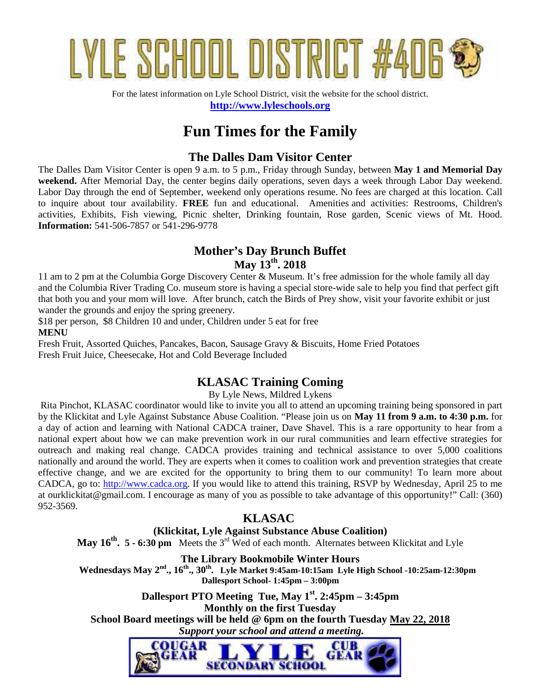

For the latest information on Lyle School District, visit the website for the school district. **http://www.lyleschools.org**

# **Fun Times for the Family**

## **The Dalles Dam Visitor Center**

The Dalles Dam Visitor Center is open 9 a.m. to 5 p.m., Friday through Sunday, between **May 1 and Memorial Day weekend.** After Memorial Day, the center begins daily operations, seven days a week through Labor Day weekend. Labor Day through the end of September, weekend only operations resume. No fees are charged at this location. Call to inquire about tour availability. **FREE** fun and educational. Amenities and activities: Restrooms, Children's activities, Exhibits, Fish viewing, Picnic shelter, Drinking fountain, Rose garden, Scenic views of Mt. Hood. **Information:** 541-506-7857 or 541-296-9778

## **Mother's Day Brunch Buffet May 13th. 2018**

11 am to 2 pm at the Columbia Gorge Discovery Center & Museum. It's free admission for the whole family all day and the Columbia River Trading Co. museum store is having a special store-wide sale to help you find that perfect gift that both you and your mom will love. After brunch, catch the Birds of Prey show, visit your favorite exhibit or just wander the grounds and enjoy the spring greenery.

\$18 per person, \$8 Children 10 and under, Children under 5 eat for free **MENU**

Fresh Fruit, Assorted Quiches, Pancakes, Bacon, Sausage Gravy & Biscuits, Home Fried Potatoes Fresh Fruit Juice, Cheesecake, Hot and Cold Beverage Included

## **KLASAC Training Coming**

By Lyle News, Mildred Lykens

Rita Pinchot, KLASAC coordinator would like to invite you all to attend an upcoming training being sponsored in part by the Klickitat and Lyle Against Substance Abuse Coalition. "Please join us on **May 11 from 9 a.m. to 4:30 p.m.** for a day of action and learning with National CADCA trainer, Dave Shavel. This is a rare opportunity to hear from a national expert about how we can make prevention work in our rural communities and learn effective strategies for outreach and making real change. CADCA provides training and technical assistance to over 5,000 coalitions nationally and around the world. They are experts when it comes to coalition work and prevention strategies that create effective change, and we are excited for the opportunity to bring them to our community! To learn more about CADCA, go to: http://www.cadca.org. If you would like to attend this training, RSVP by Wednesday, April 25 to me at ourklickitat@gmail.com. I encourage as many of you as possible to take advantage of this opportunity!" Call: (360) 952-3569.

## **KLASAC**

**(Klickitat, Lyle Against Substance Abuse Coalition) May 16th . 5 - 6:30 pm** Meets the 3rd Wed of each month. Alternates between Klickitat and Lyle

**The Library Bookmobile Winter Hours Wednesdays May 2 nd ., 16th., 30th . Lyle Market 9:45am-10:15am Lyle High School -10:25am-12:30pm Dallesport School- 1:45pm – 3:00pm**

**Dallesport PTO Meeting Tue, May 1st. 2:45pm – 3:45pm Monthly on the first Tuesday School Board meetings will be held @ 6pm on the fourth Tuesday May 22, 2018**  *Support your school and attend a meeting.*

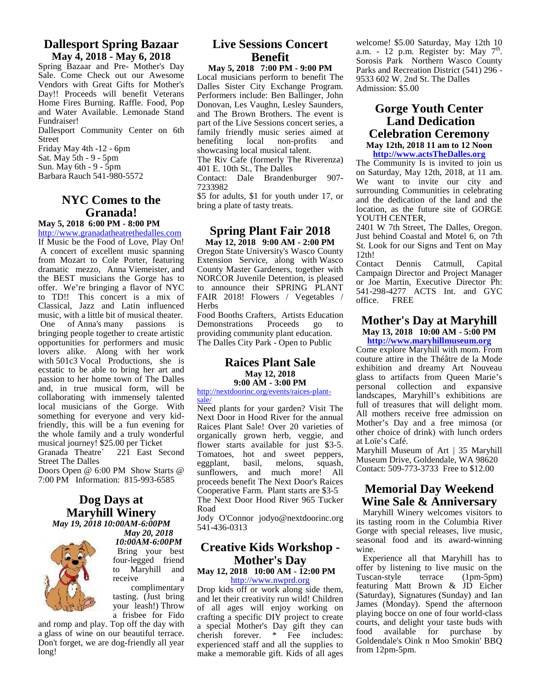#### **Dallesport Spring Bazaar May 4, 2018 - May 6, 2018**

Spring Bazaar and Pre- Mother's Day Sale. Come Check out our Awesome Vendors with Great Gifts for Mother's Day!! Proceeds will benefit Veterans Home Fires Burning. Raffle. Food, Pop and Water Available. Lemonade Stand Fundraiser!

Dallesport Community Center on 6th Street

Friday May 4th -12 - 6pm Sat. May 5th - 9 - 5pm

Sun. May 6th - 9 - 5pm

Barbara Rauch 541-980-5572

## **NYC Comes to the Granada!**

#### **May 5, 2018 6:00 PM - 8:00 PM**

http://www.granadatheatrethedalles.com If Music be the Food of Love, Play On! A concert of excellent music spanning from Mozart to Cole Porter, featuring dramatic mezzo, Anna Viemeister, and the BEST musicians the Gorge has to offer. We're bringing a flavor of NYC to TD!! This concert is a mix of Classical, Jazz and Latin influenced music, with a little bit of musical theater. One of Anna's many passions is bringing people together to create artistic opportunities for performers and music lovers alike. Along with her work with 501c3 Vocal Productions, she is ecstatic to be able to bring her art and passion to her home town of The Dalles and, in true musical form, will be collaborating with immensely talented local musicians of the Gorge. With something for everyone and very kidfriendly, this will be a fun evening for the whole family and a truly wonderful musical journey! \$25.00 per Ticket<br>Granada Theatre` 221 East S

221 East Second Street The Dalles

Doors Open @ 6:00 PM Show Starts @ 7:00 PM Information: 815-993-6585

#### **Dog Days at Maryhill Winery** *May 19, 2018 10:00AM-6:00PM*



*May 20, 2018 10:00AM-6:00PM*

Bring your best four-legged friend to Maryhill and receive a complimentary

tasting. (Just bring your leash!) Throw a frisbee for Fido

and romp and play. Top off the day with a glass of wine on our beautiful terrace. Don't forget, we are dog-friendly all year long!

## **Live Sessions Concert Benefit**

**May 5, 2018 7:00 PM - 9:00 PM** Local musicians perform to benefit The Dalles Sister City Exchange Program. Performers include: Ben Ballinger, John Donovan, Les Vaughn, Lesley Saunders, and The Brown Brothers. The event is part of the Live Sessions concert series, a family friendly music series aimed at<br>benefiting local non-profits and benefiting local non-profits and showcasing local musical talent.

The Riv Cafe (formerly The Riverenza) 401 E. 10th St., The Dalles

Contact: Dale Brandenburger 907- 7233982

\$5 for adults, \$1 for youth under 17, or bring a plate of tasty treats.

#### **Spring Plant Fair 2018 May 12, 2018 9:00 AM - 2:00 PM**

Oregon State University's Wasco County Extension Service, along with Wasco Contact County Master Gardeners, together with NORCOR Juvenile Detention, is pleased to announce their SPRING PLANT FAIR 2018! Flowers / Vegetables /  $\frac{341-256}{\text{office}}$ Herbs

Food Booths Crafters, Artists Education Demonstrations Proceeds go to providing community plant education. The Dalles City Park - Open to Public

#### **Raices Plant Sale May 12, 2018 9:00 AM - 3:00 PM**

http://nextdoorinc.org/events/raices-plant sale/

Need plants for your garden? Visit The Next Door in Hood River for the annual Raices Plant Sale! Over 20 varieties of organically grown herb, veggie, and flower starts available for just \$3-5. Tomatoes, hot and sweet peppers, eggplant, basil, melons, squash.  $e$ ggplant, basil, melons, sunflowers, and much more! All proceeds benefit The Next Door's Raices Cooperative Farm. Plant starts are \$3-5 The Next Door Hood River 965 Tucker Road

Jody O'Connor jodyo@nextdoorinc.org 541-436-0313

## **Creative Kids Workshop - Mother's Day**

#### **May 12, 2018 10:00 AM - 12:00 PM** http://www.nwprd.org

Drop kids off or work along side them, and let their creativity run wild! Children of all ages will enjoy working on crafting a specific DIY project to create a special Mother's Day gift they can cherish forever. \* Fee includes: experienced staff and all the supplies to make a memorable gift. Kids of all ages welcome! \$5.00 Saturday, May 12th 10 a.m. - 12 p.m. Register by: May  $7<sup>th</sup>$ . Sorosis Park Northern Wasco County Parks and Recreation District (541) 296 - 9533 602 W. 2nd St. The Dalles Admission: \$5.00

#### **Gorge Youth Center Land Dedication Celebration Ceremony May 12th, 2018 11 am to 12 Noon http://www.actsTheDalles.org**

The Community Is is invited to join us on Saturday, May 12th, 2018, at 11 am. We want to invite our city and surrounding Communities in celebrating and the dedication of the land and the location, as the future site of GORGE YOUTH CENTER.

2401 W 7th Street, The Dalles, Oregon. Just behind Coastal and Motel 6, on 7th St. Look for our Signs and Tent on May 12th!<br>Contact Dennis

Catmull, Capital Campaign Director and Project Manager or Joe Martin, Executive Director Ph: 541-298-4277 ACTS Int. and GYC **FREE** 

## **Mother's Day at Maryhill May 13, 2018 10:00 AM - 5:00 PM**

**http://www.maryhillmuseum.org** Come explore Maryhill with mom. From couture attire in the Théâtre de la Mode exhibition and dreamy Art Nouveau glass to artifacts from Queen Marie's personal collection and expansive landscapes, Maryhill's exhibitions are full of treasures that will delight mom. All mothers receive free admission on Mother's Day and a free mimosa (or other choice of drink) with lunch orders at Loïe's Café.

Maryhill Museum of Art | 35 Maryhill Museum Drive, Goldendale, WA 98620 Contact: 509-773-3733 Free to \$12.00

## **Memorial Day Weekend Wine Sale & Anniversary**

Maryhill Winery welcomes visitors to its tasting room in the Columbia River Gorge with special releases, live music, seasonal food and its award-winning wine.

Experience all that Maryhill has to offer by listening to live music on the Tuscan-style terrace (1pm-5pm) featuring Matt Brown & JD Eicher (Saturday), Signatures (Sunday) and Ian James (Monday). Spend the afternoon playing bocce on one of four world-class courts, and delight your taste buds with food available for purchase by Goldendale's Oink n Moo Smokin' BBQ from 12pm-5pm.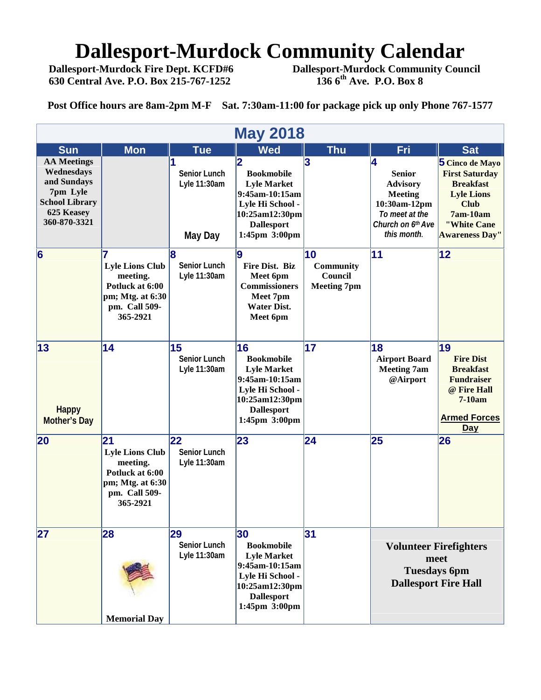# **Dallesport-Murdock Community Calendar**<br>Dallesport-Murdock Fire Dept. KCFD#6 Dallesport-Murdock Community Cour

 **630 Central Ave. P.O. Box 215-767-1252** 

 **Dallesport-Murdock Community Council**<br>136 6<sup>th</sup> Ave. P.O. Box 8

**Post Office hours are 8am-2pm M-F Sat. 7:30am-11:00 for package pick up only Phone 767-1577**

| <b>May 2018</b>                                                                                                    |                                                                                                              |                                                       |                                                                                                                                                                  |                                                  |                                                                                                                               |                                                                                                                                                      |  |  |  |
|--------------------------------------------------------------------------------------------------------------------|--------------------------------------------------------------------------------------------------------------|-------------------------------------------------------|------------------------------------------------------------------------------------------------------------------------------------------------------------------|--------------------------------------------------|-------------------------------------------------------------------------------------------------------------------------------|------------------------------------------------------------------------------------------------------------------------------------------------------|--|--|--|
| <b>Sun</b>                                                                                                         | <b>Mon</b>                                                                                                   | <b>Tue</b>                                            | <b>Wed</b>                                                                                                                                                       | <b>Thu</b>                                       | Fri                                                                                                                           | <b>Sat</b>                                                                                                                                           |  |  |  |
| <b>AA Meetings</b><br>Wednesdays<br>and Sundays<br>7pm Lyle<br><b>School Library</b><br>625 Keasey<br>360-870-3321 |                                                                                                              | <b>Senior Lunch</b><br>Lyle 11:30am<br><b>May Day</b> | $\overline{\mathbf{2}}$<br><b>Bookmobile</b><br><b>Lyle Market</b><br>9:45am-10:15am<br>Lyle Hi School -<br>10:25am12:30pm<br><b>Dallesport</b><br>1:45pm 3:00pm | 3                                                | 4<br><b>Senior</b><br><b>Advisory</b><br><b>Meeting</b><br>10:30am-12pm<br>To meet at the<br>Church on 6th Ave<br>this month. | 5 Cinco de Mayo<br><b>First Saturday</b><br><b>Breakfast</b><br><b>Lyle Lions</b><br><b>Club</b><br>7am-10am<br>"White Cane<br><b>Awareness Day"</b> |  |  |  |
| $6\phantom{a}$                                                                                                     | <b>Lyle Lions Club</b><br>meeting.<br>Potluck at 6:00<br>pm; Mtg. at 6:30<br>pm. Call 509-<br>365-2921       | 8<br><b>Senior Lunch</b><br>Lyle 11:30am              | g<br>Fire Dist. Biz<br>Meet 6pm<br><b>Commissioners</b><br>Meet 7pm<br><b>Water Dist.</b><br>Meet 6pm                                                            | 10<br>Community<br>Council<br><b>Meeting 7pm</b> | 11                                                                                                                            | $ 12\rangle$                                                                                                                                         |  |  |  |
| 13<br><b>Happy</b><br><b>Mother's Day</b>                                                                          | 14                                                                                                           | 15<br><b>Senior Lunch</b><br>Lyle 11:30am             | 16<br><b>Bookmobile</b><br><b>Lyle Market</b><br>9:45am-10:15am<br>Lyle Hi School -<br>10:25am12:30pm<br><b>Dallesport</b><br>1:45pm 3:00pm                      | 17                                               | 18<br><b>Airport Board</b><br><b>Meeting 7am</b><br>@Airport                                                                  | 19<br><b>Fire Dist</b><br><b>Breakfast</b><br><b>Fundraiser</b><br>@ Fire Hall<br>7-10am<br><b>Armed Forces</b><br><b>Day</b>                        |  |  |  |
| 20                                                                                                                 | 21<br><b>Lyle Lions Club</b><br>meeting.<br>Potluck at 6:00<br>pm; Mtg. at 6:30<br>pm. Call 509-<br>365-2921 | 22<br><b>Senior Lunch</b><br>Lyle 11:30am             | 23                                                                                                                                                               | 24                                               | 25                                                                                                                            | 26                                                                                                                                                   |  |  |  |
| 27                                                                                                                 | 28<br><b>Memorial Day</b>                                                                                    | 29<br><b>Senior Lunch</b><br>Lyle 11:30am             | 30<br><b>Bookmobile</b><br><b>Lyle Market</b><br>9:45am-10:15am<br>Lyle Hi School -<br>10:25am12:30pm<br><b>Dallesport</b><br>1:45pm 3:00pm                      | 31                                               | <b>Volunteer Firefighters</b><br>meet<br><b>Tuesdays 6pm</b><br><b>Dallesport Fire Hall</b>                                   |                                                                                                                                                      |  |  |  |